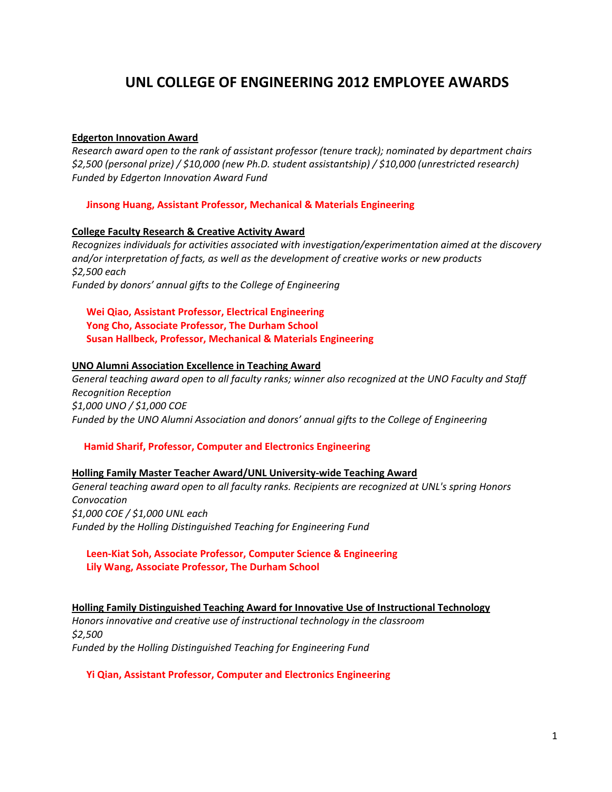# **UNL COLLEGE OF ENGINEERING 2012 EMPLOYEE AWARDS**

# **Edgerton Innovation Award**

*Research award open to the rank of assistant professor (tenure track); nominated by department chairs \$2,500 (personal prize) / \$10,000 (new Ph.D. student assistantship) / \$10,000 (unrestricted research) Funded by Edgerton Innovation Award Fund*

## **Jinsong Huang, Assistant Professor, Mechanical & Materials Engineering**

## **College Faculty Research & Creative Activity Award**

*Recognizes individuals for activities associated with investigation/experimentation aimed at the discovery and/or interpretation of facts, as well as the development of creative works or new products \$2,500 each Funded by donors' annual gifts to the College of Engineering*

 **Wei Qiao, Assistant Professor, Electrical Engineering Yong Cho, Associate Professor, The Durham School Susan Hallbeck, Professor, Mechanical & Materials Engineering**

## **UNO Alumni Association Excellence in Teaching Award**

*General teaching award open to all faculty ranks; winner also recognized at the UNO Faculty and Staff Recognition Reception \$1,000 UNO / \$1,000 COE Funded by the UNO Alumni Association and donors' annual gifts to the College of Engineering*

# **Hamid Sharif, Professor, Computer and Electronics Engineering**

#### **Holling Family Master Teacher Award/UNL University‐wide Teaching Award**

*General teaching award open to all faculty ranks. Recipients are recognized at UNL's spring Honors Convocation \$1,000 COE / \$1,000 UNL each Funded by the Holling Distinguished Teaching for Engineering Fund*

# **Leen‐Kiat Soh, Associate Professor, Computer Science & Engineering Lily Wang, Associate Professor, The Durham School**

**Holling Family Distinguished Teaching Award for Innovative Use of Instructional Technology** *Honors innovative and creative use of instructional technology in the classroom \$2,500 Funded by the Holling Distinguished Teaching for Engineering Fund*

#### **Yi Qian, Assistant Professor, Computer and Electronics Engineering**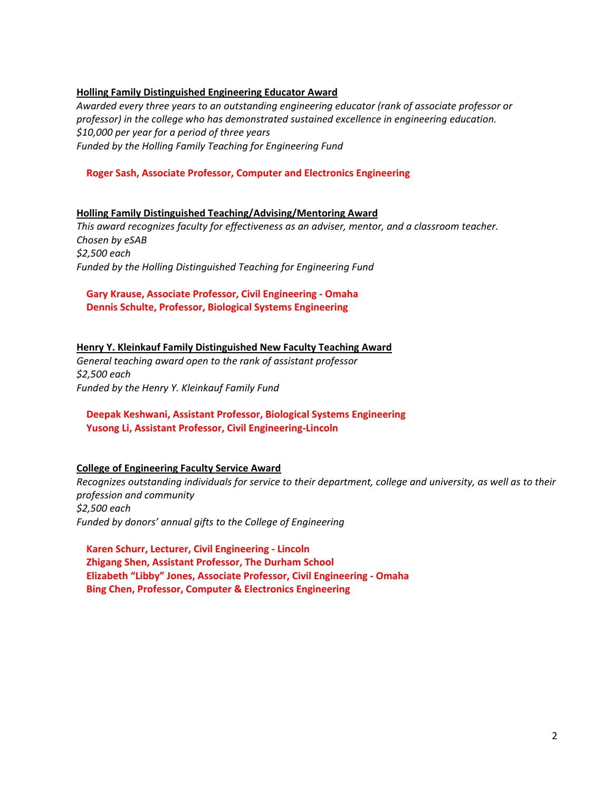# **Holling Family Distinguished Engineering Educator Award**

*Awarded every three years to an outstanding engineering educator (rank of associate professor or professor) in the college who has demonstrated sustained excellence in engineering education. \$10,000 per year for a period of three years Funded by the Holling Family Teaching for Engineering Fund*

# **Roger Sash, Associate Professor, Computer and Electronics Engineering**

# **Holling Family Distinguished Teaching/Advising/Mentoring Award**

*This award recognizes faculty for effectiveness as an adviser, mentor, and a classroom teacher. Chosen by eSAB \$2,500 each Funded by the Holling Distinguished Teaching for Engineering Fund*

# **Gary Krause, Associate Professor, Civil Engineering ‐ Omaha Dennis Schulte, Professor, Biological Systems Engineering**

# **Henry Y. Kleinkauf Family Distinguished New Faculty Teaching Award**

*General teaching award open to the rank of assistant professor \$2,500 each Funded by the Henry Y. Kleinkauf Family Fund* 

# **Deepak Keshwani, Assistant Professor, Biological Systems Engineering Yusong Li, Assistant Professor, Civil Engineering‐Lincoln**

# **College of Engineering Faculty Service Award**

*Recognizes outstanding individuals for service to their department, college and university, as well as to their profession and community \$2,500 each Funded by donors' annual gifts to the College of Engineering* 

 **Karen Schurr, Lecturer, Civil Engineering ‐ Lincoln Zhigang Shen, Assistant Professor, The Durham School Elizabeth "Libby" Jones, Associate Professor, Civil Engineering ‐ Omaha Bing Chen, Professor, Computer & Electronics Engineering**